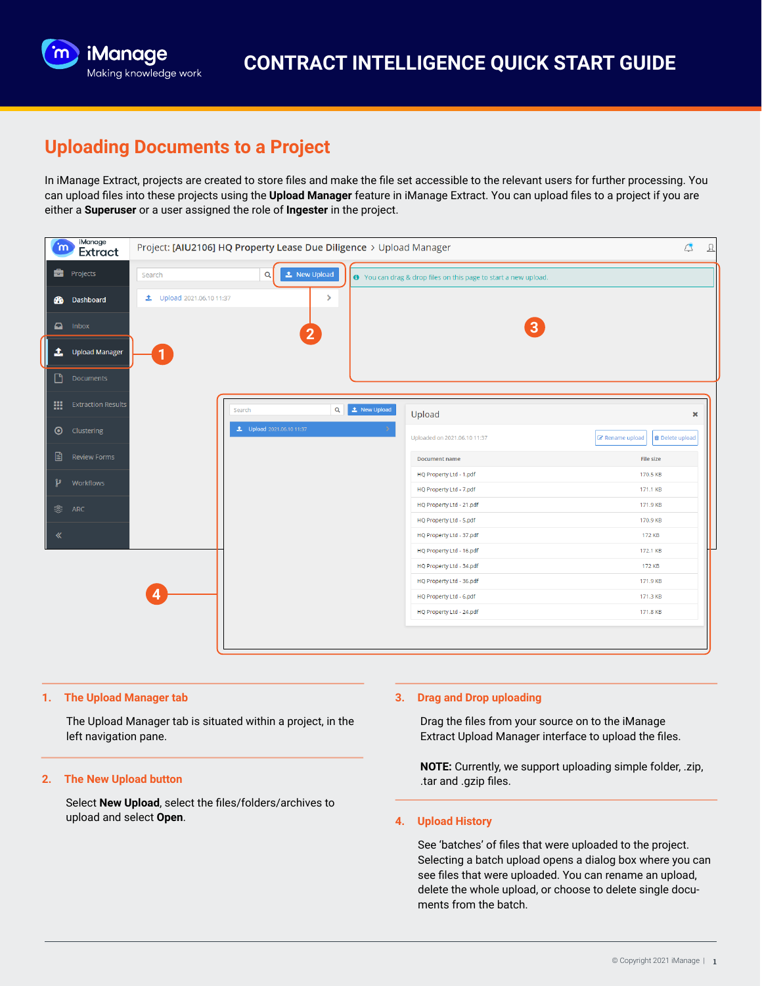

## **Uploading Documents to a Project**

In iManage Extract, projects are created to store files and make the file set accessible to the relevant users for further processing. You can upload files into these projects using the **Upload Manager** feature in iManage Extract. You can upload files to a project if you are either a **Superuser** or a user assigned the role of **Ingester** in the project.



#### **1. The Upload Manager tab**

The Upload Manager tab is situated within a project, in the left navigation pane.

## **2. The New Upload button**

Select **New Upload**, select the files/folders/archives to upload and select **Open**.

## **3. Drag and Drop uploading**

Drag the files from your source on to the iManage Extract Upload Manager interface to upload the files.

**NOTE:** Currently, we support uploading simple folder, .zip, .tar and .gzip files.

#### **4. Upload History**

See 'batches' of files that were uploaded to the project. Selecting a batch upload opens a dialog box where you can see files that were uploaded. You can rename an upload, delete the whole upload, or choose to delete single documents from the batch.